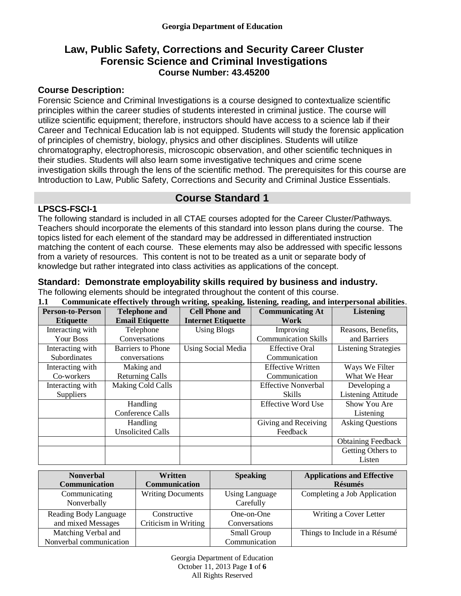# **Law, Public Safety, Corrections and Security Career Cluster Forensic Science and Criminal Investigations Course Number: 43.45200**

## **Course Description:**

Forensic Science and Criminal Investigations is a course designed to contextualize scientific principles within the career studies of students interested in criminal justice. The course will utilize scientific equipment; therefore, instructors should have access to a science lab if their Career and Technical Education lab is not equipped. Students will study the forensic application of principles of chemistry, biology, physics and other disciplines. Students will utilize chromatography, electrophoresis, microscopic observation, and other scientific techniques in their studies. Students will also learn some investigative techniques and crime scene investigation skills through the lens of the scientific method. The prerequisites for this course are Introduction to Law, Public Safety, Corrections and Security and Criminal Justice Essentials.

# **Course Standard 1**

## **LPSCS-FSCI-1**

The following standard is included in all CTAE courses adopted for the Career Cluster/Pathways. Teachers should incorporate the elements of this standard into lesson plans during the course. The topics listed for each element of the standard may be addressed in differentiated instruction matching the content of each course. These elements may also be addressed with specific lessons from a variety of resources. This content is not to be treated as a unit or separate body of knowledge but rather integrated into class activities as applications of the concept.

## **Standard: Demonstrate employability skills required by business and industry.**

The following elements should be integrated throughout the content of this course.<br>11 Communicate effectively through writing speaking listening reading and integrative **1.1 Communicate effectively through writing, speaking, listening, reading, and interpersonal abilities**.

| <b>Person-to-Person</b> | <b>Telephone and</b>     | <b>Cell Phone and</b>     | <b>Communicating At</b>     | <b>Listening</b>            |
|-------------------------|--------------------------|---------------------------|-----------------------------|-----------------------------|
| <b>Etiquette</b>        | <b>Email Etiquette</b>   | <b>Internet Etiquette</b> | Work                        |                             |
| Interacting with        | Telephone                | <b>Using Blogs</b>        | Improving                   | Reasons, Benefits,          |
| Your Boss               | Conversations            |                           | <b>Communication Skills</b> | and Barriers                |
| Interacting with        | <b>Barriers to Phone</b> | Using Social Media        | <b>Effective Oral</b>       | <b>Listening Strategies</b> |
| Subordinates            | conversations            |                           | Communication               |                             |
| Interacting with        | Making and               |                           | <b>Effective Written</b>    | Ways We Filter              |
| Co-workers              | <b>Returning Calls</b>   |                           | Communication               | What We Hear                |
| Interacting with        | <b>Making Cold Calls</b> |                           | <b>Effective Nonverbal</b>  | Developing a                |
| <b>Suppliers</b>        |                          |                           | Skills                      | <b>Listening Attitude</b>   |
|                         | Handling                 |                           | <b>Effective Word Use</b>   | Show You Are                |
|                         | Conference Calls         |                           |                             | Listening                   |
|                         | <b>Handling</b>          |                           | Giving and Receiving        | <b>Asking Questions</b>     |
|                         | <b>Unsolicited Calls</b> |                           | Feedback                    |                             |
|                         |                          |                           |                             | <b>Obtaining Feedback</b>   |
|                         |                          |                           |                             | Getting Others to           |
|                         |                          |                           |                             | Listen                      |

| <b>Nonverbal</b>                               | Written                  | <b>Speaking</b>                    | <b>Applications and Effective</b> |
|------------------------------------------------|--------------------------|------------------------------------|-----------------------------------|
| <b>Communication</b>                           | <b>Communication</b>     |                                    | <b>Résumés</b>                    |
| Communicating<br>Nonverbally                   | <b>Writing Documents</b> | <b>Using Language</b><br>Carefully | Completing a Job Application      |
| Reading Body Language                          | Constructive             | One-on-One                         | Writing a Cover Letter            |
| and mixed Messages                             | Criticism in Writing     | Conversations                      |                                   |
| Matching Verbal and<br>Nonverbal communication |                          | Small Group<br>Communication       | Things to Include in a Résumé     |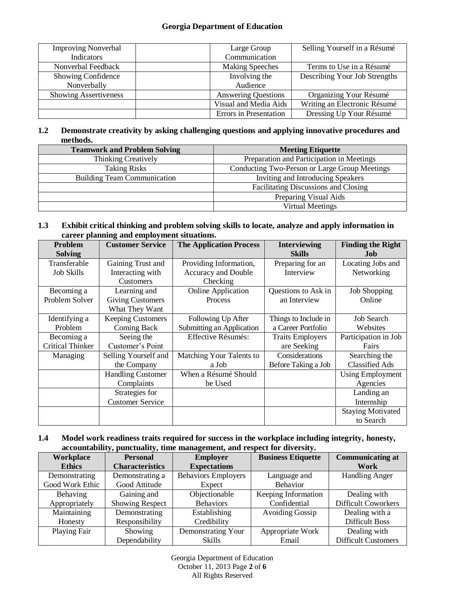#### **Georgia Department of Education**

| <b>Improving Nonverbal</b>   | Large Group                | Selling Yourself in a Résumé  |
|------------------------------|----------------------------|-------------------------------|
| <b>Indicators</b>            | Communication              |                               |
| Nonverbal Feedback           | <b>Making Speeches</b>     | Terms to Use in a Résumé      |
| Showing Confidence           | Involving the              | Describing Your Job Strengths |
| Nonverbally                  | Audience                   |                               |
| <b>Showing Assertiveness</b> | <b>Answering Questions</b> | Organizing Your Résumé        |
|                              | Visual and Media Aids      | Writing an Electronic Résumé  |
|                              | Errors in Presentation     | Dressing Up Your Résumé       |

#### **1.2 Demonstrate creativity by asking challenging questions and applying innovative procedures and methods.**

| <b>Teamwork and Problem Solving</b> | <b>Meeting Etiquette</b>                      |
|-------------------------------------|-----------------------------------------------|
| <b>Thinking Creatively</b>          | Preparation and Participation in Meetings     |
| <b>Taking Risks</b>                 | Conducting Two-Person or Large Group Meetings |
| <b>Building Team Communication</b>  | Inviting and Introducing Speakers             |
|                                     | Facilitating Discussions and Closing          |
|                                     | Preparing Visual Aids                         |
|                                     | <b>Virtual Meetings</b>                       |

#### **1.3 Exhibit critical thinking and problem solving skills to locate, analyze and apply information in career planning and employment situations.**

| Problem<br><b>Solving</b> | <b>Customer Service</b>  | <b>The Application Process</b> | <b>Interviewing</b><br><b>Skills</b> | <b>Finding the Right</b><br>Job |
|---------------------------|--------------------------|--------------------------------|--------------------------------------|---------------------------------|
| Transferable              | Gaining Trust and        | Providing Information,         | Preparing for an                     | Locating Jobs and               |
| <b>Job Skills</b>         | Interacting with         | Accuracy and Double            | Interview                            | Networking                      |
|                           | Customers                | Checking                       |                                      |                                 |
| Becoming a                | Learning and             | <b>Online Application</b>      | Questions to Ask in                  | Job Shopping                    |
| Problem Solver            | <b>Giving Customers</b>  | Process                        | an Interview                         | Online                          |
|                           | What They Want           |                                |                                      |                                 |
| Identifying a             | <b>Keeping Customers</b> | Following Up After             | Things to Include in                 | <b>Job Search</b>               |
| Problem                   | Coming Back              | Submitting an Application      | a Career Portfolio                   | Websites                        |
| Becoming a                | Seeing the               | Effective Résumés:             | <b>Traits Employers</b>              | Participation in Job            |
| <b>Critical Thinker</b>   | Customer's Point         |                                | are Seeking                          | Fairs                           |
| Managing                  | Selling Yourself and     | Matching Your Talents to       | Considerations                       | Searching the                   |
|                           | the Company              | a Job                          | Before Taking a Job                  | <b>Classified Ads</b>           |
|                           | <b>Handling Customer</b> | When a Résumé Should           |                                      | <b>Using Employment</b>         |
|                           | Complaints               | be Used                        |                                      | Agencies                        |
|                           | Strategies for           |                                |                                      | Landing an                      |
|                           | <b>Customer Service</b>  |                                |                                      | Internship                      |
|                           |                          |                                |                                      | <b>Staying Motivated</b>        |
|                           |                          |                                |                                      | to Search                       |

#### **1.4 Model work readiness traits required for success in the workplace including integrity, honesty, accountability, punctuality, time management, and respect for diversity.**

| Workplace       | <b>Personal</b>        | <b>Employer</b>            | <b>Business Etiquette</b> | <b>Communicating at</b>    |
|-----------------|------------------------|----------------------------|---------------------------|----------------------------|
| <b>Ethics</b>   | <b>Characteristics</b> | <b>Expectations</b>        |                           | Work                       |
| Demonstrating   | Demonstrating a        | <b>Behaviors Employers</b> | Language and              | <b>Handling Anger</b>      |
| Good Work Ethic | Good Attitude          | Expect                     | Behavior                  |                            |
| Behaving        | Gaining and            | Objectionable              | Keeping Information       | Dealing with               |
| Appropriately   | <b>Showing Respect</b> | <b>Behaviors</b>           | Confidential              | <b>Difficult Coworkers</b> |
| Maintaining     | Demonstrating          | Establishing               | <b>Avoiding Gossip</b>    | Dealing with a             |
| Honesty         | Responsibility         | Credibility                |                           | <b>Difficult Boss</b>      |
| Playing Fair    | Showing                | Demonstrating Your         | Appropriate Work          | Dealing with               |
|                 | Dependability          | <b>Skills</b>              | Email                     | <b>Difficult Customers</b> |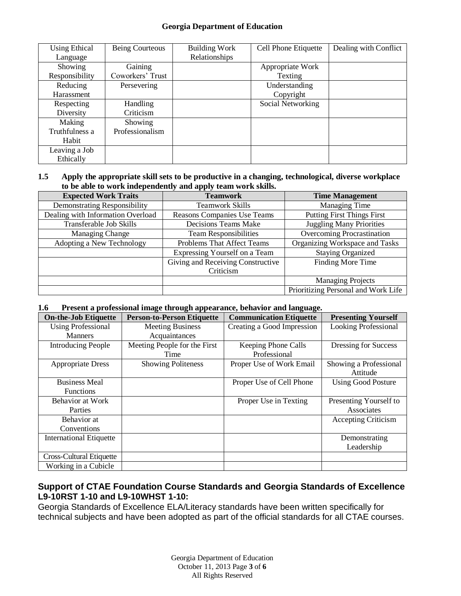#### **Georgia Department of Education**

| <b>Using Ethical</b> | Being Courteous  | <b>Building Work</b> | Cell Phone Etiquette | Dealing with Conflict |
|----------------------|------------------|----------------------|----------------------|-----------------------|
| Language             |                  | Relationships        |                      |                       |
| Showing              | Gaining          |                      | Appropriate Work     |                       |
| Responsibility       | Coworkers' Trust |                      | Texting              |                       |
| Reducing             | Persevering      |                      | Understanding        |                       |
| Harassment           |                  |                      | Copyright            |                       |
| Respecting           | <b>Handling</b>  |                      | Social Networking    |                       |
| Diversity            | Criticism        |                      |                      |                       |
| Making               | Showing          |                      |                      |                       |
| Truthfulness a       | Professionalism  |                      |                      |                       |
| Habit                |                  |                      |                      |                       |
| Leaving a Job        |                  |                      |                      |                       |
| Ethically            |                  |                      |                      |                       |

#### **1.5 Apply the appropriate skill sets to be productive in a changing, technological, diverse workplace to be able to work independently and apply team work skills.**

| <b>Expected Work Traits</b>         | <b>Teamwork</b>                   | <b>Time Management</b>              |
|-------------------------------------|-----------------------------------|-------------------------------------|
| <b>Demonstrating Responsibility</b> | <b>Teamwork Skills</b>            | Managing Time                       |
| Dealing with Information Overload   | Reasons Companies Use Teams       | <b>Putting First Things First</b>   |
| Transferable Job Skills             | Decisions Teams Make              | <b>Juggling Many Priorities</b>     |
| <b>Managing Change</b>              | <b>Team Responsibilities</b>      | <b>Overcoming Procrastination</b>   |
| Adopting a New Technology           | Problems That Affect Teams        | Organizing Workspace and Tasks      |
|                                     | Expressing Yourself on a Team     | <b>Staying Organized</b>            |
|                                     | Giving and Receiving Constructive | Finding More Time                   |
|                                     | Criticism                         |                                     |
|                                     |                                   | <b>Managing Projects</b>            |
|                                     |                                   | Prioritizing Personal and Work Life |

#### **1.6 Present a professional image through appearance, behavior and language.**

| <b>On-the-Job Etiquette</b>    | <b>Person-to-Person Etiquette</b> | <b>Communication Etiquette</b> | <b>Presenting Yourself</b>  |
|--------------------------------|-----------------------------------|--------------------------------|-----------------------------|
| <b>Using Professional</b>      | <b>Meeting Business</b>           | Creating a Good Impression     | <b>Looking Professional</b> |
| <b>Manners</b>                 | Acquaintances                     |                                |                             |
| <b>Introducing People</b>      | Meeting People for the First      | Keeping Phone Calls            | Dressing for Success        |
|                                | Time                              | Professional                   |                             |
| <b>Appropriate Dress</b>       | <b>Showing Politeness</b>         | Proper Use of Work Email       | Showing a Professional      |
|                                |                                   |                                | Attitude                    |
| <b>Business Meal</b>           |                                   | Proper Use of Cell Phone       | <b>Using Good Posture</b>   |
| <b>Functions</b>               |                                   |                                |                             |
| Behavior at Work               |                                   | Proper Use in Texting          | Presenting Yourself to      |
| Parties                        |                                   |                                | Associates                  |
| Behavior at                    |                                   |                                | Accepting Criticism         |
| Conventions                    |                                   |                                |                             |
| <b>International Etiquette</b> |                                   |                                | Demonstrating               |
|                                |                                   |                                | Leadership                  |
| Cross-Cultural Etiquette       |                                   |                                |                             |
| Working in a Cubicle           |                                   |                                |                             |

## **Support of CTAE Foundation Course Standards and Georgia Standards of Excellence L9-10RST 1-10 and L9-10WHST 1-10:**

Georgia Standards of Excellence ELA/Literacy standards have been written specifically for technical subjects and have been adopted as part of the official standards for all CTAE courses.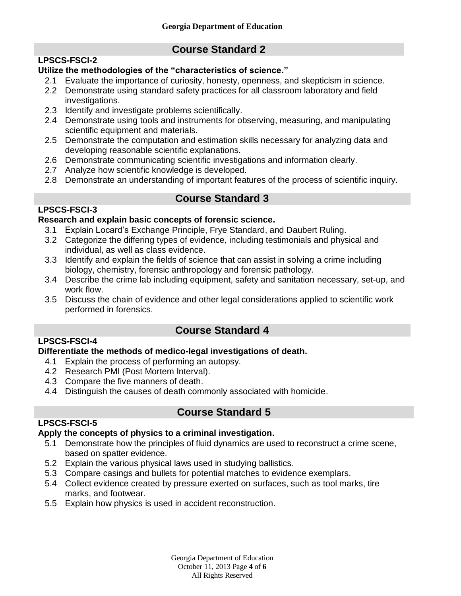**Course Standard 2**

# **LPSCS-FSCI-2**

# **Utilize the methodologies of the "characteristics of science."**

- 2.1 Evaluate the importance of curiosity, honesty, openness, and skepticism in science.
- 2.2 Demonstrate using standard safety practices for all classroom laboratory and field investigations.
- 2.3 Identify and investigate problems scientifically.
- 2.4 Demonstrate using tools and instruments for observing, measuring, and manipulating scientific equipment and materials.
- 2.5 Demonstrate the computation and estimation skills necessary for analyzing data and developing reasonable scientific explanations.
- 2.6 Demonstrate communicating scientific investigations and information clearly.
- 2.7 Analyze how scientific knowledge is developed.
- 2.8 Demonstrate an understanding of important features of the process of scientific inquiry.

# **Course Standard 3**

# **LPSCS-FSCI-3**

# **Research and explain basic concepts of forensic science.**

- 3.1 Explain Locard's Exchange Principle, Frye Standard, and Daubert Ruling.
- 3.2 Categorize the differing types of evidence, including testimonials and physical and individual, as well as class evidence.
- 3.3 Identify and explain the fields of science that can assist in solving a crime including biology, chemistry, forensic anthropology and forensic pathology.
- 3.4 Describe the crime lab including equipment, safety and sanitation necessary, set-up, and work flow.
- 3.5 Discuss the chain of evidence and other legal considerations applied to scientific work performed in forensics.

# **Course Standard 4**

# **LPSCS-FSCI-4**

## **Differentiate the methods of medico-legal investigations of death.**

- 4.1 Explain the process of performing an autopsy.
- 4.2 Research PMI (Post Mortem Interval).
- 4.3 Compare the five manners of death.
- 4.4 Distinguish the causes of death commonly associated with homicide.

# **Course Standard 5**

# **LPSCS-FSCI-5**

## **Apply the concepts of physics to a criminal investigation.**

- 5.1 Demonstrate how the principles of fluid dynamics are used to reconstruct a crime scene, based on spatter evidence.
- 5.2 Explain the various physical laws used in studying ballistics.
- 5.3 Compare casings and bullets for potential matches to evidence exemplars.
- 5.4 Collect evidence created by pressure exerted on surfaces, such as tool marks, tire marks, and footwear.
- 5.5 Explain how physics is used in accident reconstruction.

Georgia Department of Education October 11, 2013 Page **4** of **6** All Rights Reserved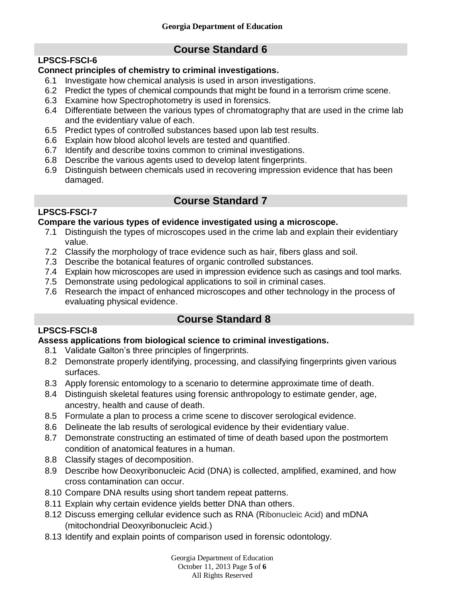# **LPSCS-FSCI-6**

# **Course Standard 6**

# **Connect principles of chemistry to criminal investigations.**

- 6.1 Investigate how chemical analysis is used in arson investigations.
- 6.2 Predict the types of chemical compounds that might be found in a terrorism crime scene.
- 6.3 Examine how Spectrophotometry is used in forensics.
- 6.4 Differentiate between the various types of chromatography that are used in the crime lab and the evidentiary value of each.
- 6.5 Predict types of controlled substances based upon lab test results.
- 6.6 Explain how blood alcohol levels are tested and quantified.
- 6.7 Identify and describe toxins common to criminal investigations.
- 6.8 Describe the various agents used to develop latent fingerprints.
- 6.9 Distinguish between chemicals used in recovering impression evidence that has been damaged.

# **Course Standard 7**

# **LPSCS-FSCI-7**

# **Compare the various types of evidence investigated using a microscope.**

- 7.1 Distinguish the types of microscopes used in the crime lab and explain their evidentiary value.
- 7.2 Classify the morphology of trace evidence such as hair, fibers glass and soil.
- 7.3 Describe the botanical features of organic controlled substances.
- 7.4 Explain how microscopes are used in impression evidence such as casings and tool marks.
- 7.5 Demonstrate using pedological applications to soil in criminal cases.
- 7.6 Research the impact of enhanced microscopes and other technology in the process of evaluating physical evidence.

# **Course Standard 8**

# **LPSCS-FSCI-8**

# **Assess applications from biological science to criminal investigations.**

- 8.1 Validate Galton's three principles of fingerprints.
- 8.2 Demonstrate properly identifying, processing, and classifying fingerprints given various surfaces.
- 8.3 Apply forensic entomology to a scenario to determine approximate time of death.
- 8.4 Distinguish skeletal features using forensic anthropology to estimate gender, age, ancestry, health and cause of death.
- 8.5 Formulate a plan to process a crime scene to discover serological evidence.
- 8.6 Delineate the lab results of serological evidence by their evidentiary value.
- 8.7 Demonstrate constructing an estimated of time of death based upon the postmortem condition of anatomical features in a human.
- 8.8 Classify stages of decomposition.
- 8.9 Describe how Deoxyribonucleic Acid (DNA) is collected, amplified, examined, and how cross contamination can occur.
- 8.10 Compare DNA results using short tandem repeat patterns.
- 8.11 Explain why certain evidence yields better DNA than others.
- 8.12 Discuss emerging cellular evidence such as RNA (Ribonucleic Acid) and mDNA (mitochondrial Deoxyribonucleic Acid.)
- 8.13 Identify and explain points of comparison used in forensic odontology.